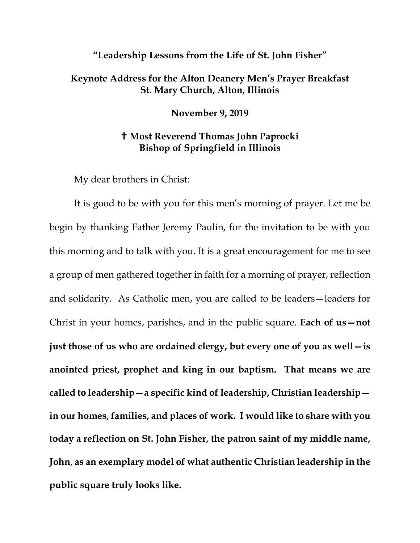## **"Leadership Lessons from the Life of St. John Fisher"**

## **Keynote Address for the Alton Deanery Men's Prayer Breakfast St. Mary Church, Alton, Illinois**

**November 9, 2019**

## **Most Reverend Thomas John Paprocki Bishop of Springfield in Illinois**

My dear brothers in Christ:

It is good to be with you for this men's morning of prayer. Let me be begin by thanking Father Jeremy Paulin, for the invitation to be with you this morning and to talk with you. It is a great encouragement for me to see a group of men gathered together in faith for a morning of prayer, reflection and solidarity. As Catholic men, you are called to be leaders—leaders for Christ in your homes, parishes, and in the public square. **Each of us—not just those of us who are ordained clergy, but every one of you as well—is anointed priest, prophet and king in our baptism. That means we are called to leadership—a specific kind of leadership, Christian leadership in our homes, families, and places of work. I would like to share with you today a reflection on St. John Fisher, the patron saint of my middle name, John, as an exemplary model of what authentic Christian leadership in the public square truly looks like.**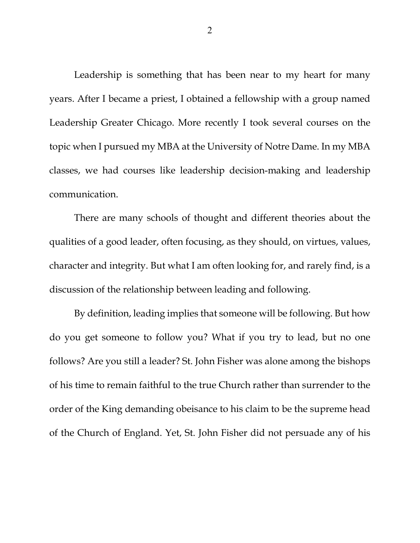Leadership is something that has been near to my heart for many years. After I became a priest, I obtained a fellowship with a group named Leadership Greater Chicago. More recently I took several courses on the topic when I pursued my MBA at the University of Notre Dame. In my MBA classes, we had courses like leadership decision-making and leadership communication.

There are many schools of thought and different theories about the qualities of a good leader, often focusing, as they should, on virtues, values, character and integrity. But what I am often looking for, and rarely find, is a discussion of the relationship between leading and following.

By definition, leading implies that someone will be following. But how do you get someone to follow you? What if you try to lead, but no one follows? Are you still a leader? St. John Fisher was alone among the bishops of his time to remain faithful to the true Church rather than surrender to the order of the King demanding obeisance to his claim to be the supreme head of the Church of England. Yet, St. John Fisher did not persuade any of his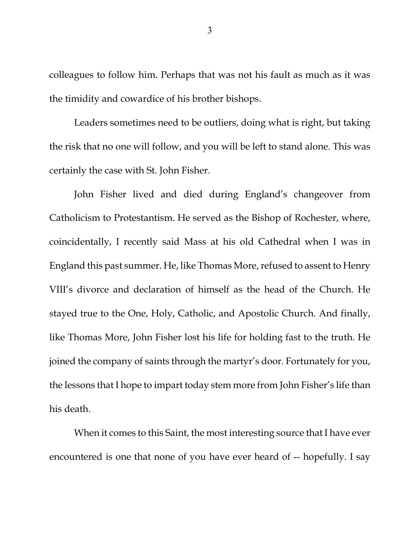colleagues to follow him. Perhaps that was not his fault as much as it was the timidity and cowardice of his brother bishops.

Leaders sometimes need to be outliers, doing what is right, but taking the risk that no one will follow, and you will be left to stand alone. This was certainly the case with St. John Fisher.

John Fisher lived and died during England's changeover from Catholicism to Protestantism. He served as the Bishop of Rochester, where, coincidentally, I recently said Mass at his old Cathedral when I was in England this past summer. He, like Thomas More, refused to assent to Henry VIII's divorce and declaration of himself as the head of the Church. He stayed true to the One, Holy, Catholic, and Apostolic Church. And finally, like Thomas More, John Fisher lost his life for holding fast to the truth. He joined the company of saints through the martyr's door. Fortunately for you, the lessons that I hope to impart today stem more from John Fisher's life than his death.

When it comes to this Saint, the most interesting source that I have ever encountered is one that none of you have ever heard of -- hopefully. I say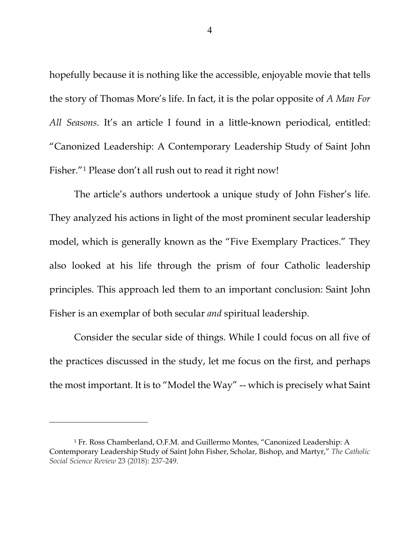hopefully because it is nothing like the accessible, enjoyable movie that tells the story of Thomas More's life. In fact, it is the polar opposite of *A Man For All Seasons*. It's an article I found in a little-known periodical, entitled: "Canonized Leadership: A Contemporary Leadership Study of Saint John Fisher."<sup>[1](#page-3-0)</sup> Please don't all rush out to read it right now!

The article's authors undertook a unique study of John Fisher's life. They analyzed his actions in light of the most prominent secular leadership model, which is generally known as the "Five Exemplary Practices." They also looked at his life through the prism of four Catholic leadership principles. This approach led them to an important conclusion: Saint John Fisher is an exemplar of both secular *and* spiritual leadership.

Consider the secular side of things. While I could focus on all five of the practices discussed in the study, let me focus on the first, and perhaps the most important. It is to "Model the Way" -- which is precisely what Saint

4

<span id="page-3-0"></span><sup>1</sup> Fr. Ross Chamberland, O.F.M. and Guillermo Montes, "Canonized Leadership: A Contemporary Leadership Study of Saint John Fisher, Scholar, Bishop, and Martyr," *The Catholic Social Science Review* 23 (2018): 237-249.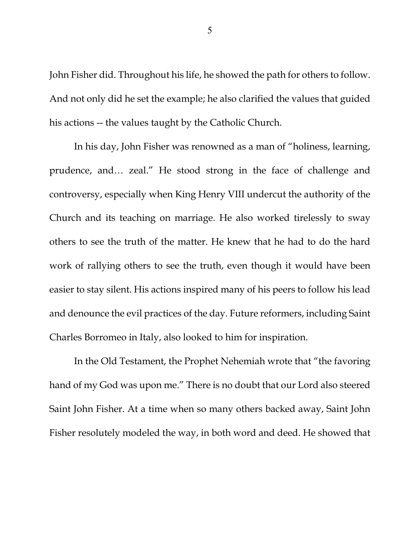John Fisher did. Throughout his life, he showed the path for others to follow. And not only did he set the example; he also clarified the values that guided his actions -- the values taught by the Catholic Church.

In his day, John Fisher was renowned as a man of "holiness, learning, prudence, and… zeal." He stood strong in the face of challenge and controversy, especially when King Henry VIII undercut the authority of the Church and its teaching on marriage. He also worked tirelessly to sway others to see the truth of the matter. He knew that he had to do the hard work of rallying others to see the truth, even though it would have been easier to stay silent. His actions inspired many of his peers to follow his lead and denounce the evil practices of the day. Future reformers, including Saint Charles Borromeo in Italy, also looked to him for inspiration.

In the Old Testament, the Prophet Nehemiah wrote that "the favoring hand of my God was upon me." There is no doubt that our Lord also steered Saint John Fisher. At a time when so many others backed away, Saint John Fisher resolutely modeled the way, in both word and deed. He showed that

5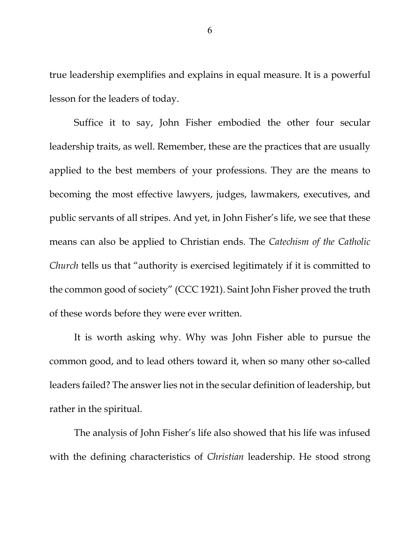true leadership exemplifies and explains in equal measure. It is a powerful lesson for the leaders of today.

Suffice it to say, John Fisher embodied the other four secular leadership traits, as well. Remember, these are the practices that are usually applied to the best members of your professions. They are the means to becoming the most effective lawyers, judges, lawmakers, executives, and public servants of all stripes. And yet, in John Fisher's life, we see that these means can also be applied to Christian ends. The *Catechism of the Catholic Church* tells us that "authority is exercised legitimately if it is committed to the common good of society" (CCC 1921). Saint John Fisher proved the truth of these words before they were ever written.

It is worth asking why. Why was John Fisher able to pursue the common good, and to lead others toward it, when so many other so-called leaders failed? The answer lies not in the secular definition of leadership, but rather in the spiritual.

The analysis of John Fisher's life also showed that his life was infused with the defining characteristics of *Christian* leadership. He stood strong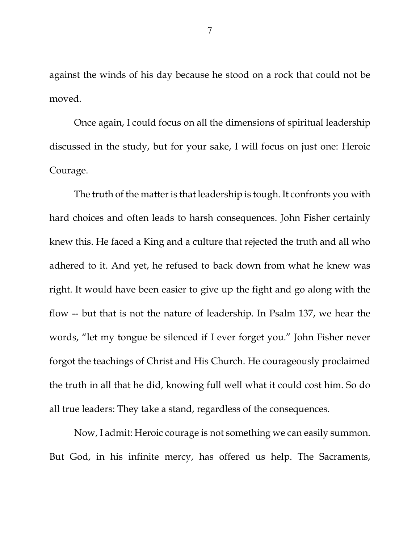against the winds of his day because he stood on a rock that could not be moved.

Once again, I could focus on all the dimensions of spiritual leadership discussed in the study, but for your sake, I will focus on just one: Heroic Courage.

The truth of the matter is that leadership is tough. It confronts you with hard choices and often leads to harsh consequences. John Fisher certainly knew this. He faced a King and a culture that rejected the truth and all who adhered to it. And yet, he refused to back down from what he knew was right. It would have been easier to give up the fight and go along with the flow -- but that is not the nature of leadership. In Psalm 137, we hear the words, "let my tongue be silenced if I ever forget you." John Fisher never forgot the teachings of Christ and His Church. He courageously proclaimed the truth in all that he did, knowing full well what it could cost him. So do all true leaders: They take a stand, regardless of the consequences.

Now, I admit: Heroic courage is not something we can easily summon. But God, in his infinite mercy, has offered us help. The Sacraments,

7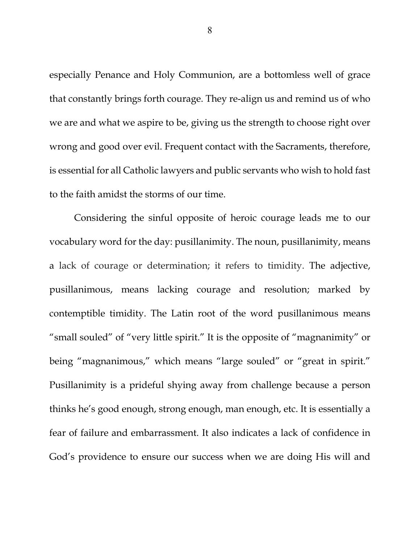especially Penance and Holy Communion, are a bottomless well of grace that constantly brings forth courage. They re-align us and remind us of who we are and what we aspire to be, giving us the strength to choose right over wrong and good over evil. Frequent contact with the Sacraments, therefore, is essential for all Catholic lawyers and public servants who wish to hold fast to the faith amidst the storms of our time.

Considering the sinful opposite of heroic courage leads me to our vocabulary word for the day: pusillanimity. The noun, pusillanimity, means a lack of courage or determination; it refers to timidity. The adjective, pusillanimous, means lacking courage and resolution; marked by contemptible timidity. The Latin root of the word pusillanimous means "small souled" of "very little spirit." It is the opposite of "magnanimity" or being "magnanimous," which means "large souled" or "great in spirit." Pusillanimity is a prideful shying away from challenge because a person thinks he's good enough, strong enough, man enough, etc. It is essentially a fear of failure and embarrassment. It also indicates a lack of confidence in God's providence to ensure our success when we are doing His will and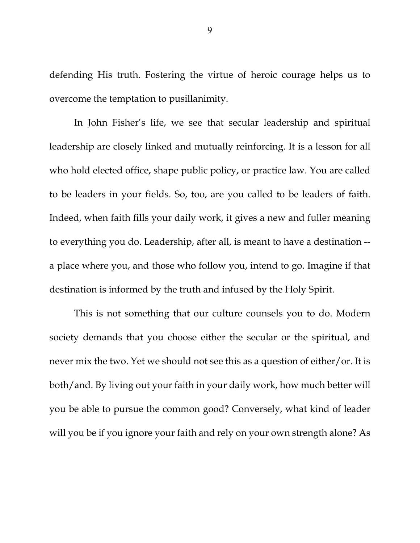defending His truth. Fostering the virtue of heroic courage helps us to overcome the temptation to pusillanimity.

In John Fisher's life, we see that secular leadership and spiritual leadership are closely linked and mutually reinforcing. It is a lesson for all who hold elected office, shape public policy, or practice law. You are called to be leaders in your fields. So, too, are you called to be leaders of faith. Indeed, when faith fills your daily work, it gives a new and fuller meaning to everything you do. Leadership, after all, is meant to have a destination - a place where you, and those who follow you, intend to go. Imagine if that destination is informed by the truth and infused by the Holy Spirit.

This is not something that our culture counsels you to do. Modern society demands that you choose either the secular or the spiritual, and never mix the two. Yet we should not see this as a question of either/or. It is both/and. By living out your faith in your daily work, how much better will you be able to pursue the common good? Conversely, what kind of leader will you be if you ignore your faith and rely on your own strength alone? As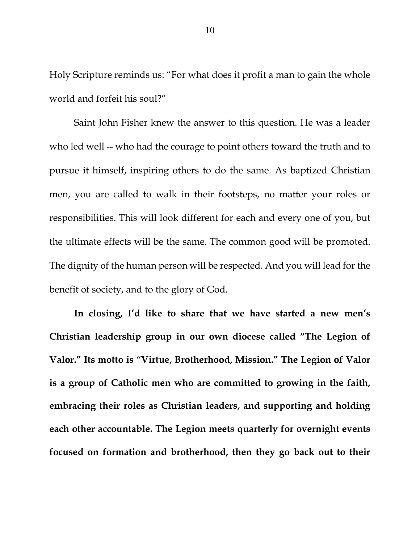Holy Scripture reminds us: "For what does it profit a man to gain the whole world and forfeit his soul?"

Saint John Fisher knew the answer to this question. He was a leader who led well -- who had the courage to point others toward the truth and to pursue it himself, inspiring others to do the same. As baptized Christian men, you are called to walk in their footsteps, no matter your roles or responsibilities. This will look different for each and every one of you, but the ultimate effects will be the same. The common good will be promoted. The dignity of the human person will be respected. And you will lead for the benefit of society, and to the glory of God.

**In closing, I'd like to share that we have started a new men's Christian leadership group in our own diocese called "The Legion of Valor." Its motto is "Virtue, Brotherhood, Mission." The Legion of Valor is a group of Catholic men who are committed to growing in the faith, embracing their roles as Christian leaders, and supporting and holding each other accountable. The Legion meets quarterly for overnight events focused on formation and brotherhood, then they go back out to their**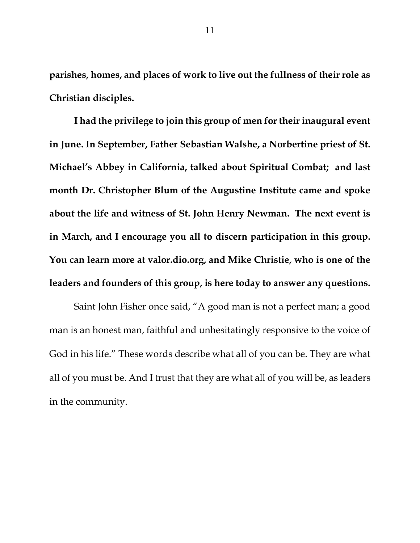**parishes, homes, and places of work to live out the fullness of their role as Christian disciples.** 

**I had the privilege to join this group of men for their inaugural event in June. In September, Father Sebastian Walshe, a Norbertine priest of St. Michael's Abbey in California, talked about Spiritual Combat; and last month Dr. Christopher Blum of the Augustine Institute came and spoke about the life and witness of St. John Henry Newman. The next event is in March, and I encourage you all to discern participation in this group. You can learn more at valor.dio.org, and Mike Christie, who is one of the leaders and founders of this group, is here today to answer any questions.** 

Saint John Fisher once said, "A good man is not a perfect man; a good man is an honest man, faithful and unhesitatingly responsive to the voice of God in his life." These words describe what all of you can be. They are what all of you must be. And I trust that they are what all of you will be, as leaders in the community.